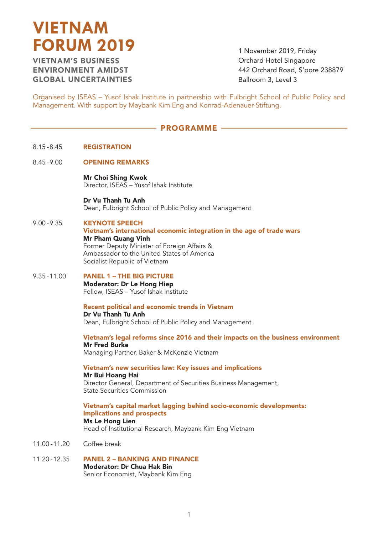# **VIETNAM FORUM 2019**

VIETNAM'S BUSINESS ENVIRONMENT AMIDST GLOBAL UNCERTAINTIES 1 November 2019, Friday Orchard Hotel Singapore 442 Orchard Road, S'pore 238879 Ballroom 3, Level 3

Organised by ISEAS – Yusof Ishak Institute in partnership with Fulbright School of Public Policy and Management. With support by Maybank Kim Eng and Konrad-Adenauer-Stiftung.

# $-$  PROGRAMME  $-$

- 8.15 8.45 REGISTRATION
- 8.45 9.00 **OPENING REMARKS**

Mr Choi Shing Kwok Director, ISEAS – Yusof Ishak Institute

Dr Vu Thanh Tu Anh Dean, Fulbright School of Public Policy and Management

#### 9.00-9.35 **KEYNOTE SPEECH**

## Vietnam's international economic integration in the age of trade wars Mr Pham Quang Vinh Former Deputy Minister of Foreign Affairs & Ambassador to the United States of America Socialist Republic of Vietnam

9.35 - 11.00 PANEL 1 - THE BIG PICTURE Moderator: Dr Le Hong Hiep Fellow, ISEAS – Yusof Ishak Institute

# Recent political and economic trends in Vietnam

Dr Vu Thanh Tu Anh Dean, Fulbright School of Public Policy and Management

Vietnam's legal reforms since 2016 and their impacts on the business environment Mr Fred Burke Managing Partner, Baker & McKenzie Vietnam

Vietnam's new securities law: Key issues and implications Mr Bui Hoang Hai Director General, Department of Securities Business Management, State Securities Commission

Vietnam's capital market lagging behind socio-economic developments: Implications and prospects Ms Le Hong Lien Head of Institutional Research, Maybank Kim Eng Vietnam

11.00 - 11.20 Coffee break

11.20 - 12.35 PANEL 2 – BANKING AND FINANCE Moderator: Dr Chua Hak Bin Senior Economist, Maybank Kim Eng